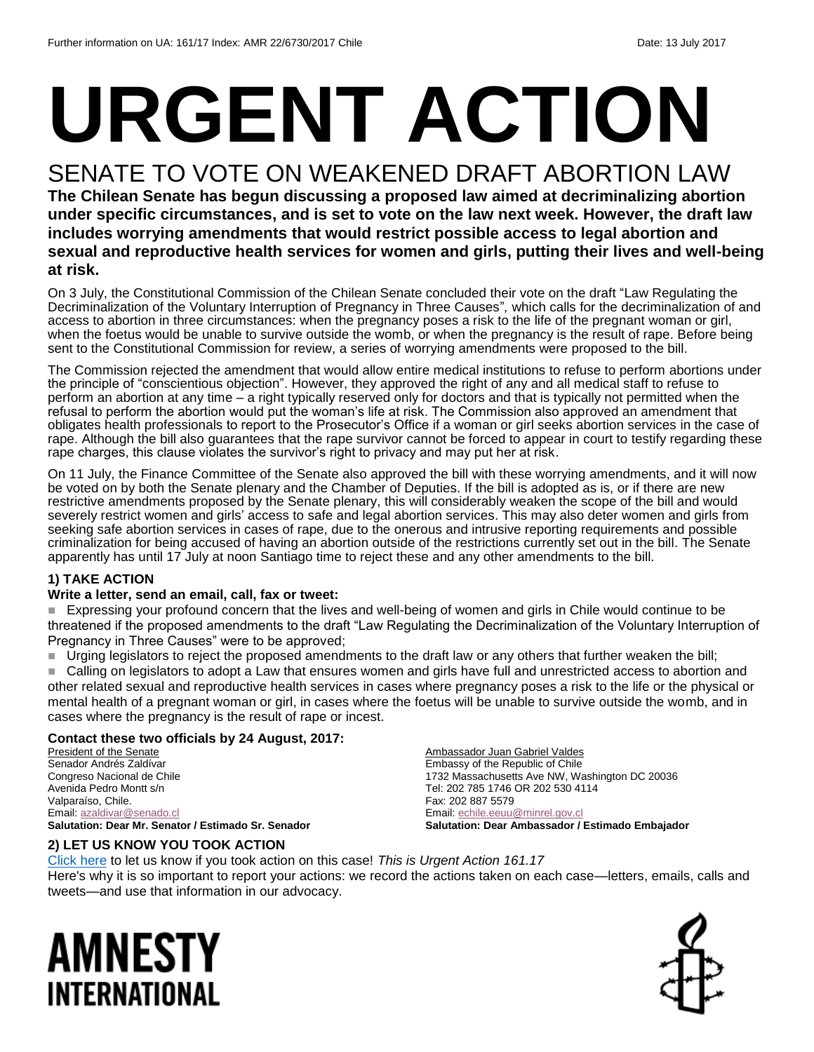# **URGENT ACTION**

## SENATE TO VOTE ON WEAKENED DRAFT ABORTION LAW

**The Chilean Senate has begun discussing a proposed law aimed at decriminalizing abortion under specific circumstances, and is set to vote on the law next week. However, the draft law includes worrying amendments that would restrict possible access to legal abortion and sexual and reproductive health services for women and girls, putting their lives and well-being at risk.**

On 3 July, the Constitutional Commission of the Chilean Senate concluded their vote on the draft "Law Regulating the Decriminalization of the Voluntary Interruption of Pregnancy in Three Causes"*,* which calls for the decriminalization of and access to abortion in three circumstances: when the pregnancy poses a risk to the life of the pregnant woman or girl, when the foetus would be unable to survive outside the womb, or when the pregnancy is the result of rape. Before being sent to the Constitutional Commission for review, a series of worrying amendments were proposed to the bill.

The Commission rejected the amendment that would allow entire medical institutions to refuse to perform abortions under the principle of "conscientious objection". However, they approved the right of any and all medical staff to refuse to perform an abortion at any time – a right typically reserved only for doctors and that is typically not permitted when the refusal to perform the abortion would put the woman's life at risk. The Commission also approved an amendment that obligates health professionals to report to the Prosecutor's Office if a woman or girl seeks abortion services in the case of rape. Although the bill also guarantees that the rape survivor cannot be forced to appear in court to testify regarding these rape charges, this clause violates the survivor's right to privacy and may put her at risk.

On 11 July, the Finance Committee of the Senate also approved the bill with these worrying amendments, and it will now be voted on by both the Senate plenary and the Chamber of Deputies. If the bill is adopted as is, or if there are new restrictive amendments proposed by the Senate plenary, this will considerably weaken the scope of the bill and would severely restrict women and girls' access to safe and legal abortion services. This may also deter women and girls from seeking safe abortion services in cases of rape, due to the onerous and intrusive reporting requirements and possible criminalization for being accused of having an abortion outside of the restrictions currently set out in the bill. The Senate apparently has until 17 July at noon Santiago time to reject these and any other amendments to the bill.

#### **1) TAKE ACTION**

#### **Write a letter, send an email, call, fax or tweet:**

 Expressing your profound concern that the lives and well-being of women and girls in Chile would continue to be threatened if the proposed amendments to the draft "Law Regulating the Decriminalization of the Voluntary Interruption of Pregnancy in Three Causes" were to be approved;

- Urging legislators to reject the proposed amendments to the draft law or any others that further weaken the bill;
- Calling on legislators to adopt a Law that ensures women and girls have full and unrestricted access to abortion and other related sexual and reproductive health services in cases where pregnancy poses a risk to the life or the physical or mental health of a pregnant woman or girl, in cases where the foetus will be unable to survive outside the womb, and in cases where the pregnancy is the result of rape or incest.

#### **Contact these two officials by 24 August, 2017:**

President of the Senate Senador Andrés Zaldívar Congreso Nacional de Chile Avenida Pedro Montt s/n Valparaíso, Chile. Email[: azaldivar@senado.cl](mailto:azaldivar@senado.cl) **Salutation: Dear Mr. Senator / Estimado Sr. Senador**

#### **2) LET US KNOW YOU TOOK ACTION**

Ambassador Juan Gabriel Valdes Embassy of the Republic of Chile 1732 Massachusetts Ave NW, Washington DC 20036 Tel: 202 785 1746 OR 202 530 4114 Fax: 202 887 5579 Email[: echile.eeuu@minrel.gov.cl](mailto:echile.eeuu@minrel.gov.cl) **Salutation: Dear Ambassador / Estimado Embajador**

[Click here](https://docs.google.com/forms/d/e/1FAIpQLSf3RUspces4lA9Gt7Fp9GiAcojCs6fnfFOTCLli3Su6c3S8ew/viewform) to let us know if you took action on this case! *This is Urgent Action 161.17* Here's why it is so important to report your actions: we record the actions taken on each case—letters, emails, calls and tweets—and use that information in our advocacy.